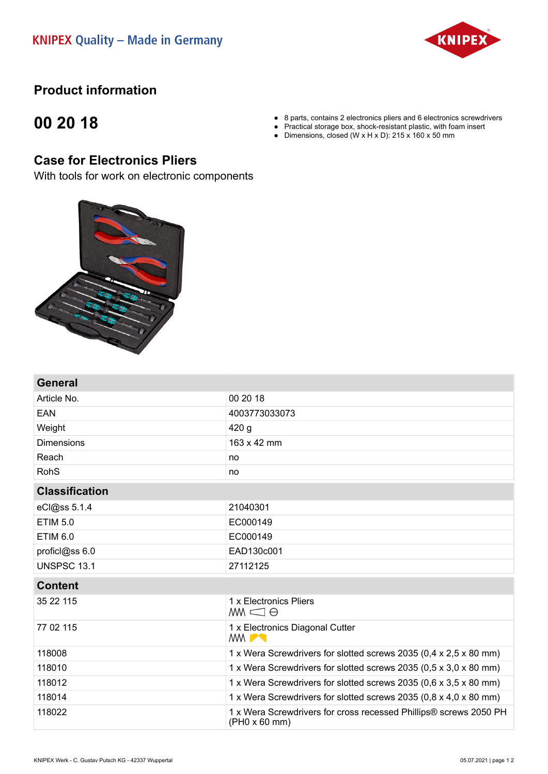

## **Product information**

## **00 20 18**

- 8 parts, contains 2 electronics pliers and 6 electronics screwdrivers
- Practical storage box, shock-resistant plastic, with foam insert
- Dimensions, closed (W x H x D): 215 x 160 x 50 mm

## **Case for Electronics Pliers**

With tools for work on electronic components



| General               |                                                                                    |
|-----------------------|------------------------------------------------------------------------------------|
| Article No.           | 00 20 18                                                                           |
| EAN                   | 4003773033073                                                                      |
| Weight                | 420 <sub>g</sub>                                                                   |
| <b>Dimensions</b>     | 163 x 42 mm                                                                        |
| Reach                 | no                                                                                 |
| <b>RohS</b>           | no                                                                                 |
| <b>Classification</b> |                                                                                    |
| eCl@ss 5.1.4          | 21040301                                                                           |
| <b>ETIM 5.0</b>       | EC000149                                                                           |
| <b>ETIM 6.0</b>       | EC000149                                                                           |
| proficl@ss 6.0        | EAD130c001                                                                         |
| <b>UNSPSC 13.1</b>    | 27112125                                                                           |
| <b>Content</b>        |                                                                                    |
| 35 22 115             | 1 x Electronics Pliers<br>$M \subseteq \Theta$                                     |
| 77 02 115             | 1 x Electronics Diagonal Cutter<br><b>MMPT</b>                                     |
| 118008                | 1 x Wera Screwdrivers for slotted screws 2035 (0,4 x 2,5 x 80 mm)                  |
| 118010                | 1 x Wera Screwdrivers for slotted screws 2035 (0,5 x 3,0 x 80 mm)                  |
| 118012                | 1 x Wera Screwdrivers for slotted screws 2035 (0,6 x 3,5 x 80 mm)                  |
| 118014                | 1 x Wera Screwdrivers for slotted screws 2035 (0,8 x 4,0 x 80 mm)                  |
| 118022                | 1 x Wera Screwdrivers for cross recessed Phillips® screws 2050 PH<br>(PH0 x 60 mm) |